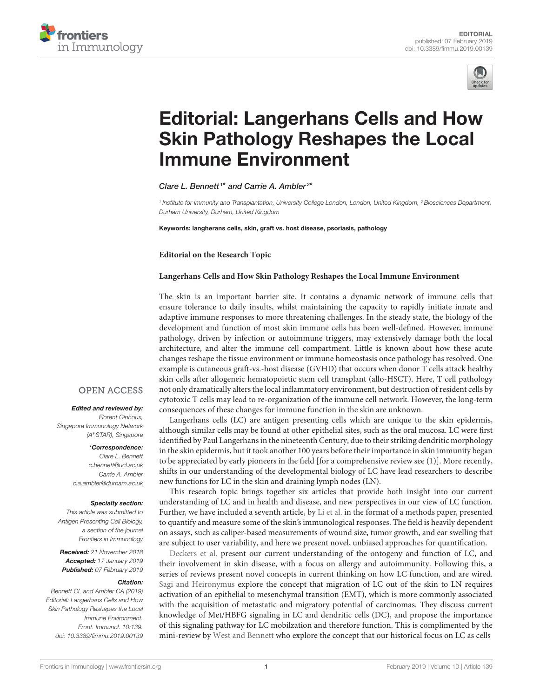



# [Editorial: Langerhans Cells and How](https://www.frontiersin.org/articles/10.3389/fimmu.2019.00139/full) Skin Pathology Reshapes the Local Immune Environment

[Clare L. Bennett](http://loop.frontiersin.org/people/394811/overview)<sup>1\*</sup> and [Carrie A. Ambler](http://loop.frontiersin.org/people/394890/overview)<sup>2\*</sup>

*1 Institute for Immunity and Transplantation, University College London, London, United Kingdom, <sup>2</sup> Biosciences Department, Durham University, Durham, United Kingdom*

Keywords: langherans cells, skin, graft vs. host disease, psoriasis, pathology

**Editorial on the Research Topic**

## **[Langerhans Cells and How Skin Pathology Reshapes the Local Immune Environment](https://www.frontiersin.org/research-topics/5593/langerhans-cells-and-how-skin-pathology-reshapes-the-local-immune-environment)**

The skin is an important barrier site. It contains a dynamic network of immune cells that ensure tolerance to daily insults, whilst maintaining the capacity to rapidly initiate innate and adaptive immune responses to more threatening challenges. In the steady state, the biology of the development and function of most skin immune cells has been well-defined. However, immune pathology, driven by infection or autoimmune triggers, may extensively damage both the local architecture, and alter the immune cell compartment. Little is known about how these acute changes reshape the tissue environment or immune homeostasis once pathology has resolved. One example is cutaneous graft-vs.-host disease (GVHD) that occurs when donor T cells attack healthy skin cells after allogeneic hematopoietic stem cell transplant (allo-HSCT). Here, T cell pathology not only dramatically alters the local inflammatory environment, but destruction of resident cells by cytotoxic T cells may lead to re-organization of the immune cell network. However, the long-term consequences of these changes for immune function in the skin are unknown.

Langerhans cells (LC) are antigen presenting cells which are unique to the skin epidermis, although similar cells may be found at other epithelial sites, such as the oral mucosa. LC were first identified by Paul Langerhans in the nineteenth Century, due to their striking dendritic morphology in the skin epidermis, but it took another 100 years before their importance in skin immunity began to be appreciated by early pioneers in the field [for a comprehensive review see [\(1\)](#page-1-0)]. More recently, shifts in our understanding of the developmental biology of LC have lead researchers to describe new functions for LC in the skin and draining lymph nodes (LN).

This research topic brings together six articles that provide both insight into our current understanding of LC and in health and disease, and new perspectives in our view of LC function. Further, we have included a seventh article, by [Li et al.](https://doi.org/10.3389/fimmu.2018.00347) in the format of a methods paper, presented to quantify and measure some of the skin's immunological responses. The field is heavily dependent on assays, such as caliper-based measurements of wound size, tumor growth, and ear swelling that are subject to user variability, and here we present novel, unbiased approaches for quantification.

[Deckers et al.](https://doi.org/10.3389/fimmu.2018.00093) present our current understanding of the ontogeny and function of LC, and their involvement in skin disease, with a focus on allergy and autoimmunity. Following this, a series of reviews present novel concepts in current thinking on how LC function, and are wired. [Sagi and Heironymus](https://doi.org/10.3389/fimmu.2018.00517) explore the concept that migration of LC out of the skin to LN requires activation of an epithelial to mesenchymal transition (EMT), which is more commonly associated with the acquisition of metastatic and migratory potential of carcinomas. They discuss current knowledge of Met/HBFG signaling in LC and dendritic cells (DC), and propose the importance of this signaling pathway for LC mobilzation and therefore function. This is complimented by the mini-review by [West and Bennett](https://doi.org/10.3389/fimmu.2017.01941) who explore the concept that our historical focus on LC as cells

# **OPEN ACCESS**

## Edited and reviewed by:

*Florent Ginhoux, Singapore Immunology Network (A*∗*STAR), Singapore*

#### \*Correspondence:

*Clare L. Bennett [c.bennett@ucl.ac.uk](mailto:c.bennett@ucl.ac.uk) Carrie A. Ambler [c.a.ambler@durham.ac.uk](mailto:c.a.ambler@durham.ac.uk)*

## Specialty section:

*This article was submitted to Antigen Presenting Cell Biology, a section of the journal Frontiers in Immunology*

Received: *21 November 2018* Accepted: *17 January 2019* Published: *07 February 2019*

## Citation:

*Bennett CL and Ambler CA (2019) Editorial: Langerhans Cells and How Skin Pathology Reshapes the Local Immune Environment. Front. Immunol. 10:139. doi: [10.3389/fimmu.2019.00139](https://doi.org/10.3389/fimmu.2019.00139)*